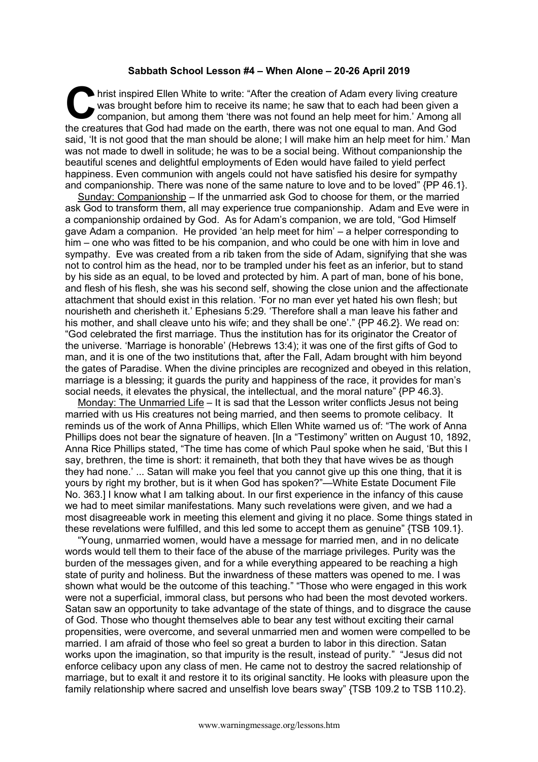## **Sabbath School Lesson #4 – When Alone – 20-26 April 2019**

hrist inspired Ellen White to write: "After the creation of Adam every living creature was brought before him to receive its name; he saw that to each had been given a companion, but among them 'there was not found an help meet for him.' Among all the creatures that God had made on the earth, there was not one equal to man. And God said, 'It is not good that the man should be alone; I will make him an help meet for him.' Man was not made to dwell in solitude; he was to be a social being. Without companionship the beautiful scenes and delightful employments of Eden would have failed to yield perfect happiness. Even communion with angels could not have satisfied his desire for sympathy and companionship. There was none of the same nature to love and to be loved" {PP 46.1}. **C** hris

Sunday: Companionship – If the unmarried ask God to choose for them, or the married ask God to transform them, all may experience true companionship. Adam and Eve were in a companionship ordained by God. As for Adam's companion, we are told, "God Himself gave Adam a companion. He provided 'an help meet for him' – a helper corresponding to him – one who was fitted to be his companion, and who could be one with him in love and sympathy. Eve was created from a rib taken from the side of Adam, signifying that she was not to control him as the head, nor to be trampled under his feet as an inferior, but to stand by his side as an equal, to be loved and protected by him. A part of man, bone of his bone, and flesh of his flesh, she was his second self, showing the close union and the affectionate attachment that should exist in this relation. 'For no man ever yet hated his own flesh; but nourisheth and cherisheth it.' Ephesians 5:29. 'Therefore shall a man leave his father and his mother, and shall cleave unto his wife; and they shall be one'." {PP 46.2}. We read on: "God celebrated the first marriage. Thus the institution has for its originator the Creator of the universe. 'Marriage is honorable' (Hebrews 13:4); it was one of the first gifts of God to man, and it is one of the two institutions that, after the Fall, Adam brought with him beyond the gates of Paradise. When the divine principles are recognized and obeyed in this relation, marriage is a blessing; it guards the purity and happiness of the race, it provides for man's social needs, it elevates the physical, the intellectual, and the moral nature" {PP 46.3}.

Monday: The Unmarried Life – It is sad that the Lesson writer conflicts Jesus not being married with us His creatures not being married, and then seems to promote celibacy. It reminds us of the work of Anna Phillips, which Ellen White warned us of: "The work of Anna Phillips does not bear the signature of heaven. [In a "Testimony" written on August 10, 1892, Anna Rice Phillips stated, "The time has come of which Paul spoke when he said, 'But this I say, brethren, the time is short: it remaineth, that both they that have wives be as though they had none.' ... Satan will make you feel that you cannot give up this one thing, that it is yours by right my brother, but is it when God has spoken?"—White Estate Document File No. 363.] I know what I am talking about. In our first experience in the infancy of this cause we had to meet similar manifestations. Many such revelations were given, and we had a most disagreeable work in meeting this element and giving it no place. Some things stated in these revelations were fulfilled, and this led some to accept them as genuine" {TSB 109.1}.

"Young, unmarried women, would have a message for married men, and in no delicate words would tell them to their face of the abuse of the marriage privileges. Purity was the burden of the messages given, and for a while everything appeared to be reaching a high state of purity and holiness. But the inwardness of these matters was opened to me. I was shown what would be the outcome of this teaching." "Those who were engaged in this work were not a superficial, immoral class, but persons who had been the most devoted workers. Satan saw an opportunity to take advantage of the state of things, and to disgrace the cause of God. Those who thought themselves able to bear any test without exciting their carnal propensities, were overcome, and several unmarried men and women were compelled to be married. I am afraid of those who feel so great a burden to labor in this direction. Satan works upon the imagination, so that impurity is the result, instead of purity." "Jesus did not enforce celibacy upon any class of men. He came not to destroy the sacred relationship of marriage, but to exalt it and restore it to its original sanctity. He looks with pleasure upon the family relationship where sacred and unselfish love bears sway" {TSB 109.2 to TSB 110.2}.